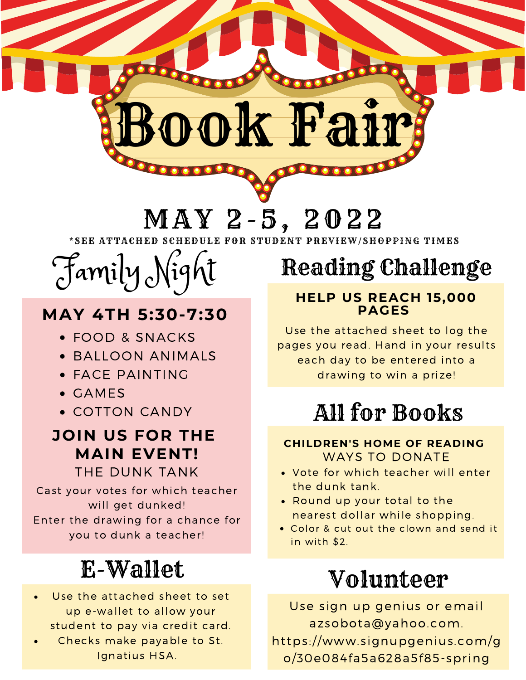MAY 2-5, 2022

DOK F

\*SEE ATTACHED SCHEDULE FOR STUDENT PREVIEW/SHOPPING TIMES



### **MAY 4TH 5:30-7:30**

- FOOD & SNACKS
- BALLOON ANIMALS
- FACE PAINTING
- GAMES
- COTTON CANDY

### **JOIN US FOR THE MAIN EVENT!**

THE DUNK TANK

Cast your votes for which teacher will get dunked! Enter the drawing for a chance for you to dunk a teacher!

## E-Wallet

- Use the attached sheet to set up e-wallet to allow your student to pay via credit card.
- Checks make payable to St. Ignatius HSA.

# Reading Challenge

### **HELP US REACH 15,000 PAGES**

Use the attached sheet to log the pages you read. Hand in your results each day to be entered into a drawing to win a prize!

## All for Books

### **CHILDREN'S HOME OF READING** WAYS TO DONATE

- Vote for which teacher will enter the dunk tank.
- Round up your total to the nearest dollar while shopping.
- Color & cut out the clown and send it in with \$2.

# Volunteer

Use sign up genius or email azsobota@yahoo.com. https://www.signupgenius.com/g o/30e084fa5a628a5f85-spring